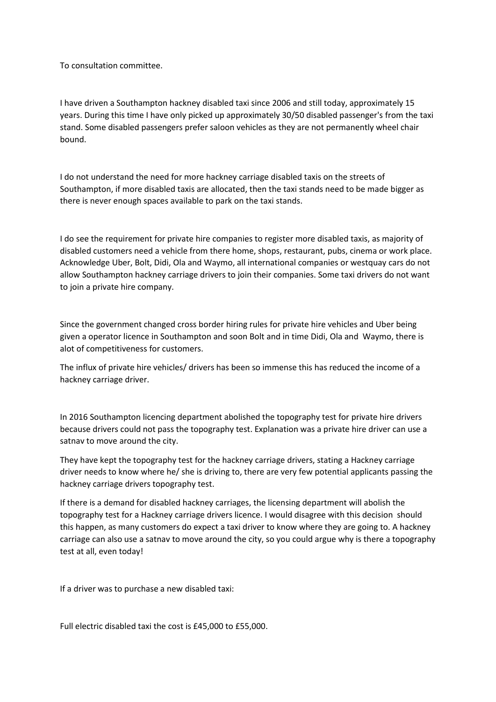To consultation committee.

I have driven a Southampton hackney disabled taxi since 2006 and still today, approximately 15 years. During this time I have only picked up approximately 30/50 disabled passenger's from the taxi stand. Some disabled passengers prefer saloon vehicles as they are not permanently wheel chair bound.

I do not understand the need for more hackney carriage disabled taxis on the streets of Southampton, if more disabled taxis are allocated, then the taxi stands need to be made bigger as there is never enough spaces available to park on the taxi stands.

I do see the requirement for private hire companies to register more disabled taxis, as majority of disabled customers need a vehicle from there home, shops, restaurant, pubs, cinema or work place. Acknowledge Uber, Bolt, Didi, Ola and Waymo, all international companies or westquay cars do not allow Southampton hackney carriage drivers to join their companies. Some taxi drivers do not want to join a private hire company.

Since the government changed cross border hiring rules for private hire vehicles and Uber being given a operator licence in Southampton and soon Bolt and in time Didi, Ola and Waymo, there is alot of competitiveness for customers.

The influx of private hire vehicles/ drivers has been so immense this has reduced the income of a hackney carriage driver.

In 2016 Southampton licencing department abolished the topography test for private hire drivers because drivers could not pass the topography test. Explanation was a private hire driver can use a satnav to move around the city.

They have kept the topography test for the hackney carriage drivers, stating a Hackney carriage driver needs to know where he/ she is driving to, there are very few potential applicants passing the hackney carriage drivers topography test.

If there is a demand for disabled hackney carriages, the licensing department will abolish the topography test for a Hackney carriage drivers licence. I would disagree with this decision should this happen, as many customers do expect a taxi driver to know where they are going to. A hackney carriage can also use a satnav to move around the city, so you could argue why is there a topography test at all, even today!

If a driver was to purchase a new disabled taxi:

Full electric disabled taxi the cost is £45,000 to £55,000.